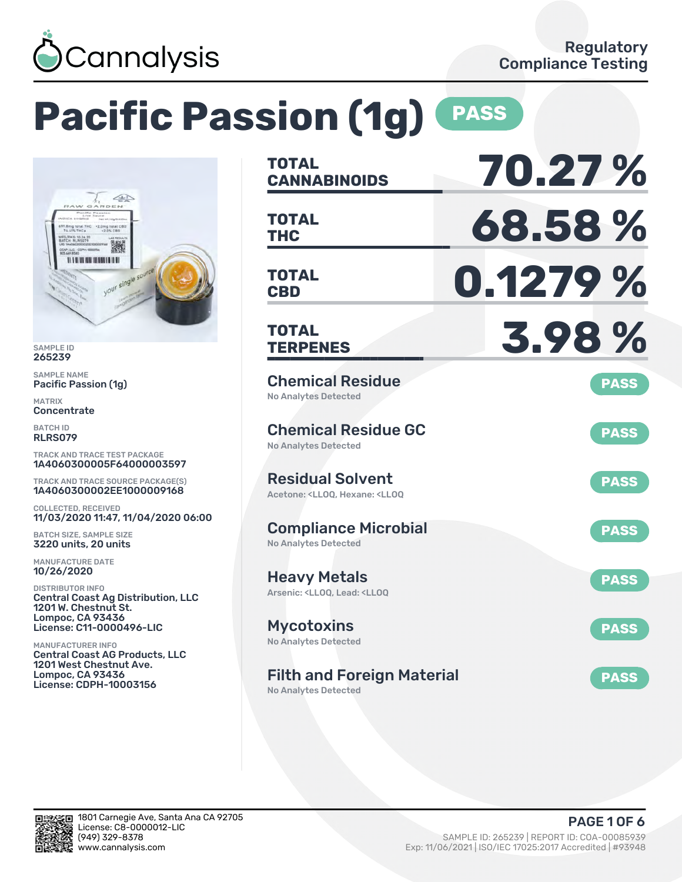

# **Pacific Passion (1g) PASS**



SAMPLE ID 265239

SAMPLE NAME Pacific Passion (1g)

MATRIX Concentrate

BATCH ID RLRS079

TRACK AND TRACE TEST PACKAGE 1A4060300005F64000003597

TRACK AND TRACE SOURCE PACKAGE(S) 1A4060300002EE1000009168

COLLECTED, RECEIVED 11/03/2020 11:47, 11/04/2020 06:00

BATCH SIZE, SAMPLE SIZE 3220 units, 20 units

MANUFACTURE DATE 10/26/2020

DISTRIBUTOR INFO Central Coast Ag Distribution, LLC 1201 W. Chestnut St. Lompoc, CA 93436 License: C11-0000496-LIC

MANUFACTURER INFO Central Coast AG Products, LLC 1201 West Chestnut Ave. Lompoc, CA 93436 License: CDPH-10003156

| <b>TOTAL</b>                                                                                       | 70.27%      |
|----------------------------------------------------------------------------------------------------|-------------|
| <b>CANNABINOIDS</b>                                                                                |             |
| <b>TOTAL</b><br><b>THC</b>                                                                         | 68.58%      |
| <b>TOTAL</b><br><b>CBD</b>                                                                         | 0.1279 %    |
| <b>TOTAL</b><br><b>TERPENES</b>                                                                    | 3.98%       |
| <b>Chemical Residue</b><br>No Analytes Detected                                                    | <b>PASS</b> |
| <b>Chemical Residue GC</b><br><b>No Analytes Detected</b>                                          | <b>PASS</b> |
| <b>Residual Solvent</b><br>Acetone: <ll00. <ll00<="" hexane:="" td=""><td><b>PASS</b></td></ll00.> | <b>PASS</b> |
| <b>Compliance Microbial</b><br><b>No Analytes Detected</b>                                         | <b>PASS</b> |
| <b>Heavy Metals</b><br>Arsenic: <lloq, <lloq<="" lead:="" td=""><td><b>PASS</b></td></lloq,>       | <b>PASS</b> |
| <b>Mycotoxins</b><br>No Analytes Detected                                                          | <b>PASS</b> |
| <b>Filth and Foreign Material</b>                                                                  | <b>PASS</b> |

No Analytes Detected

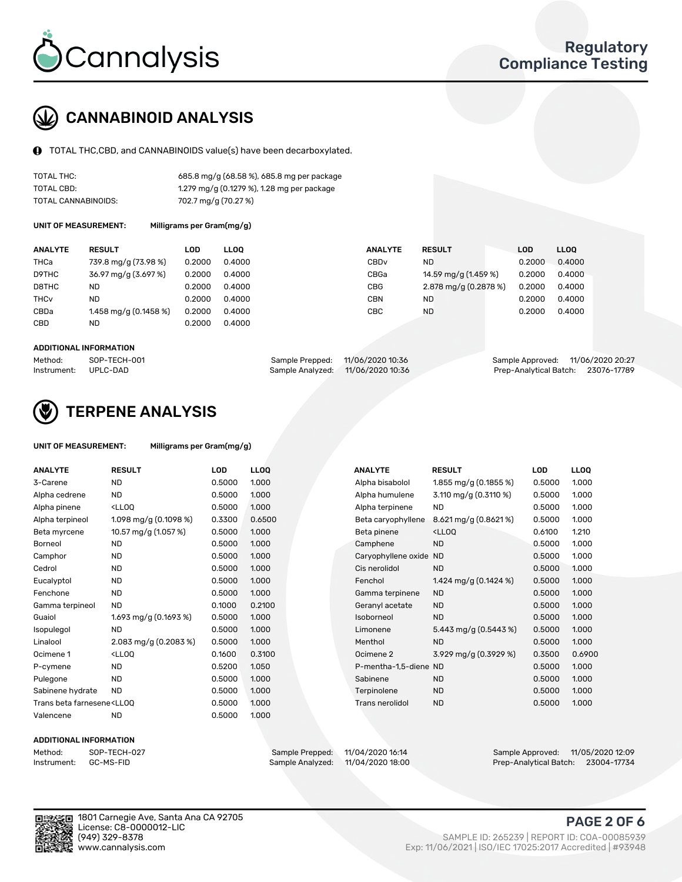

### CANNABINOID ANALYSIS

TOTAL THC,CBD, and CANNABINOIDS value(s) have been decarboxylated.

| TOTAL THC:          | 685.8 mg/g (68.58 %), 685.8 mg per package |
|---------------------|--------------------------------------------|
| TOTAL CBD:          | 1.279 mg/g (0.1279 %), 1.28 mg per package |
| TOTAL CANNABINOIDS: | 702.7 mg/g (70.27 %)                       |

UNIT OF MEASUREMENT: Milligrams per Gram(mg/g)

| <b>ANALYTE</b>         | <b>RESULT</b>           | LOD    | <b>LLOO</b> | <b>ANALYTE</b>   | <b>RESULT</b>         | LOD    | <b>LLOO</b> |
|------------------------|-------------------------|--------|-------------|------------------|-----------------------|--------|-------------|
| THCa                   | 739.8 mg/g (73.98 %)    | 0.2000 | 0.4000      | CBD <sub>v</sub> | ND.                   | 0.2000 | 0.4000      |
| D9THC                  | 36.97 mg/g (3.697 %)    | 0.2000 | 0.4000      | CBGa             | 14.59 mg/g (1.459 %)  | 0.2000 | 0.4000      |
| D8THC                  | ND                      | 0.2000 | 0.4000      | <b>CBG</b>       | 2.878 mg/g (0.2878 %) | 0.2000 | 0.4000      |
| <b>THC<sub>v</sub></b> | ND                      | 0.2000 | 0.4000      | <b>CBN</b>       | ND.                   | 0.2000 | 0.4000      |
| CBDa                   | 1.458 mg/g $(0.1458\%)$ | 0.2000 | 0.4000      | CBC              | <b>ND</b>             | 0.2000 | 0.4000      |
| CBD                    | ND                      | 0.2000 | 0.4000      |                  |                       |        |             |
|                        |                         |        |             |                  |                       |        |             |

#### ADDITIONAL INFORMATION

| Method:              | SOP-TECH-001 | Sample Prepped: 11/06/2020 10:36  | Sample Approved: 11/06/2020 20:27  |  |
|----------------------|--------------|-----------------------------------|------------------------------------|--|
| Instrument: UPLC-DAD |              | Sample Analyzed: 11/06/2020 10:36 | Prep-Analytical Batch: 23076-17789 |  |



### TERPENE ANALYSIS

| <b>ANALYTE</b>                                                                                                                                          | <b>RESULT</b>                                                                                                                     | <b>LOD</b> | <b>LLOQ</b> | <b>ANALYTE</b>         | <b>RESULT</b>                                      | <b>LOD</b> | <b>LLOQ</b> |
|---------------------------------------------------------------------------------------------------------------------------------------------------------|-----------------------------------------------------------------------------------------------------------------------------------|------------|-------------|------------------------|----------------------------------------------------|------------|-------------|
| 3-Carene                                                                                                                                                | <b>ND</b>                                                                                                                         | 0.5000     | 1.000       | Alpha bisabolol        | 1.855 mg/g (0.1855 %)                              | 0.5000     | 1.000       |
| Alpha cedrene                                                                                                                                           | <b>ND</b>                                                                                                                         | 0.5000     | 1.000       | Alpha humulene         | 3.110 mg/g $(0.3110\%)$                            | 0.5000     | 1.000       |
| Alpha pinene                                                                                                                                            | <lloq< td=""><td>0.5000</td><td>1.000</td><td>Alpha terpinene</td><td><b>ND</b></td><td>0.5000</td><td>1.000</td></lloq<>         | 0.5000     | 1.000       | Alpha terpinene        | <b>ND</b>                                          | 0.5000     | 1.000       |
| Alpha terpineol                                                                                                                                         | 1.098 mg/g $(0.1098\%)$                                                                                                           | 0.3300     | 0.6500      | Beta caryophyllene     | 8.621 mg/g (0.8621%)                               | 0.5000     | 1.000       |
| Beta myrcene                                                                                                                                            | 10.57 mg/g (1.057 %)                                                                                                              | 0.5000     | 1.000       | Beta pinene            | <lloq< td=""><td>0.6100</td><td>1.210</td></lloq<> | 0.6100     | 1.210       |
| <b>Borneol</b>                                                                                                                                          | <b>ND</b>                                                                                                                         | 0.5000     | 1.000       | Camphene               | <b>ND</b>                                          | 0.5000     | 1.000       |
| Camphor                                                                                                                                                 | <b>ND</b>                                                                                                                         | 0.5000     | 1.000       | Caryophyllene oxide ND |                                                    | 0.5000     | 1.000       |
| Cedrol                                                                                                                                                  | <b>ND</b>                                                                                                                         | 0.5000     | 1.000       | Cis nerolidol          | <b>ND</b>                                          | 0.5000     | 1.000       |
| Eucalyptol                                                                                                                                              | <b>ND</b>                                                                                                                         | 0.5000     | 1.000       | Fenchol                | 1.424 mg/g (0.1424 %)                              | 0.5000     | 1.000       |
| Fenchone                                                                                                                                                | <b>ND</b>                                                                                                                         | 0.5000     | 1.000       | Gamma terpinene        | <b>ND</b>                                          | 0.5000     | 1.000       |
| Gamma terpineol                                                                                                                                         | <b>ND</b>                                                                                                                         | 0.1000     | 0.2100      | Geranyl acetate        | <b>ND</b>                                          | 0.5000     | 1.000       |
| Guaiol                                                                                                                                                  | 1.693 mg/g $(0.1693\%)$                                                                                                           | 0.5000     | 1.000       | Isoborneol             | <b>ND</b>                                          | 0.5000     | 1.000       |
| Isopulegol                                                                                                                                              | <b>ND</b>                                                                                                                         | 0.5000     | 1.000       | Limonene               | 5.443 mg/g (0.5443 %)                              | 0.5000     | 1.000       |
| Linalool                                                                                                                                                | 2.083 mg/g (0.2083 %)                                                                                                             | 0.5000     | 1.000       | Menthol                | <b>ND</b>                                          | 0.5000     | 1.000       |
| Ocimene 1                                                                                                                                               | <ll0q< td=""><td>0.1600</td><td>0.3100</td><td>Ocimene 2</td><td>3.929 mg/g (0.3929 %)</td><td>0.3500</td><td>0.6900</td></ll0q<> | 0.1600     | 0.3100      | Ocimene 2              | 3.929 mg/g (0.3929 %)                              | 0.3500     | 0.6900      |
| P-cymene                                                                                                                                                | <b>ND</b>                                                                                                                         | 0.5200     | 1.050       | P-mentha-1,5-diene ND  |                                                    | 0.5000     | 1.000       |
| Pulegone                                                                                                                                                | <b>ND</b>                                                                                                                         | 0.5000     | 1.000       | Sabinene               | <b>ND</b>                                          | 0.5000     | 1.000       |
| Sabinene hydrate                                                                                                                                        | <b>ND</b>                                                                                                                         | 0.5000     | 1.000       | Terpinolene            | <b>ND</b>                                          | 0.5000     | 1.000       |
| Trans beta farnesene <ll00< td=""><td></td><td>0.5000</td><td>1.000</td><td>Trans nerolidol</td><td><b>ND</b></td><td>0.5000</td><td>1.000</td></ll00<> |                                                                                                                                   | 0.5000     | 1.000       | Trans nerolidol        | <b>ND</b>                                          | 0.5000     | 1.000       |
| Valencene                                                                                                                                               | <b>ND</b>                                                                                                                         | 0.5000     | 1.000       |                        |                                                    |            |             |

#### ADDITIONAL INFORMATION

Method: SOP-TECH-027 Sample Prepped: 11/04/2020 16:14 Sample Approved: 11/05/2020 12:09 Prep-Analytical Batch: 23004-17734

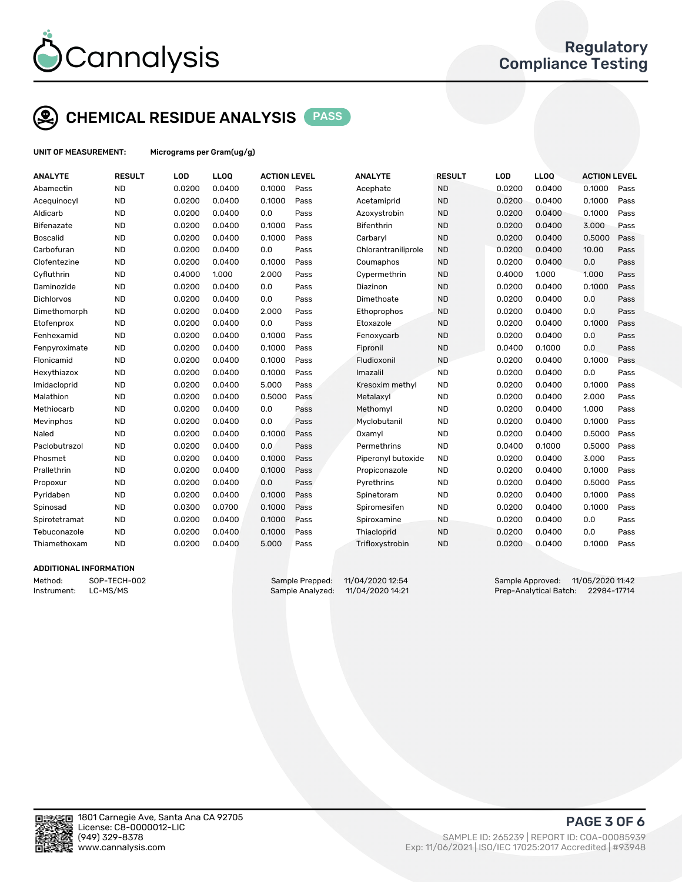

### CHEMICAL RESIDUE ANALYSIS PASS

UNIT OF MEASUREMENT: Micrograms per Gram(ug/g)

| <b>ANALYTE</b>  | <b>RESULT</b> | LOD    | LLOQ   | <b>ACTION LEVEL</b> |      | <b>ANALYTE</b>      | <b>RESULT</b> | LOD    | <b>LLOQ</b> | <b>ACTION LEVEL</b> |      |
|-----------------|---------------|--------|--------|---------------------|------|---------------------|---------------|--------|-------------|---------------------|------|
| Abamectin       | <b>ND</b>     | 0.0200 | 0.0400 | 0.1000              | Pass | Acephate            | <b>ND</b>     | 0.0200 | 0.0400      | 0.1000              | Pass |
| Acequinocyl     | <b>ND</b>     | 0.0200 | 0.0400 | 0.1000              | Pass | Acetamiprid         | <b>ND</b>     | 0.0200 | 0.0400      | 0.1000              | Pass |
| Aldicarb        | <b>ND</b>     | 0.0200 | 0.0400 | 0.0                 | Pass | Azoxystrobin        | <b>ND</b>     | 0.0200 | 0.0400      | 0.1000              | Pass |
| Bifenazate      | <b>ND</b>     | 0.0200 | 0.0400 | 0.1000              | Pass | <b>Bifenthrin</b>   | <b>ND</b>     | 0.0200 | 0.0400      | 3.000               | Pass |
| <b>Boscalid</b> | <b>ND</b>     | 0.0200 | 0.0400 | 0.1000              | Pass | Carbaryl            | <b>ND</b>     | 0.0200 | 0.0400      | 0.5000              | Pass |
| Carbofuran      | <b>ND</b>     | 0.0200 | 0.0400 | 0.0                 | Pass | Chlorantraniliprole | <b>ND</b>     | 0.0200 | 0.0400      | 10.00               | Pass |
| Clofentezine    | <b>ND</b>     | 0.0200 | 0.0400 | 0.1000              | Pass | Coumaphos           | <b>ND</b>     | 0.0200 | 0.0400      | 0.0                 | Pass |
| Cyfluthrin      | <b>ND</b>     | 0.4000 | 1.000  | 2.000               | Pass | Cypermethrin        | <b>ND</b>     | 0.4000 | 1.000       | 1.000               | Pass |
| Daminozide      | <b>ND</b>     | 0.0200 | 0.0400 | 0.0                 | Pass | Diazinon            | <b>ND</b>     | 0.0200 | 0.0400      | 0.1000              | Pass |
| Dichlorvos      | <b>ND</b>     | 0.0200 | 0.0400 | 0.0                 | Pass | Dimethoate          | <b>ND</b>     | 0.0200 | 0.0400      | 0.0                 | Pass |
| Dimethomorph    | <b>ND</b>     | 0.0200 | 0.0400 | 2.000               | Pass | Ethoprophos         | <b>ND</b>     | 0.0200 | 0.0400      | 0.0                 | Pass |
| Etofenprox      | <b>ND</b>     | 0.0200 | 0.0400 | 0.0                 | Pass | Etoxazole           | <b>ND</b>     | 0.0200 | 0.0400      | 0.1000              | Pass |
| Fenhexamid      | <b>ND</b>     | 0.0200 | 0.0400 | 0.1000              | Pass | Fenoxycarb          | <b>ND</b>     | 0.0200 | 0.0400      | 0.0                 | Pass |
| Fenpyroximate   | <b>ND</b>     | 0.0200 | 0.0400 | 0.1000              | Pass | Fipronil            | <b>ND</b>     | 0.0400 | 0.1000      | 0.0                 | Pass |
| Flonicamid      | <b>ND</b>     | 0.0200 | 0.0400 | 0.1000              | Pass | Fludioxonil         | <b>ND</b>     | 0.0200 | 0.0400      | 0.1000              | Pass |
| Hexythiazox     | <b>ND</b>     | 0.0200 | 0.0400 | 0.1000              | Pass | Imazalil            | <b>ND</b>     | 0.0200 | 0.0400      | 0.0                 | Pass |
| Imidacloprid    | <b>ND</b>     | 0.0200 | 0.0400 | 5.000               | Pass | Kresoxim methyl     | <b>ND</b>     | 0.0200 | 0.0400      | 0.1000              | Pass |
| Malathion       | <b>ND</b>     | 0.0200 | 0.0400 | 0.5000              | Pass | Metalaxyl           | <b>ND</b>     | 0.0200 | 0.0400      | 2.000               | Pass |
| Methiocarb      | <b>ND</b>     | 0.0200 | 0.0400 | 0.0                 | Pass | Methomyl            | <b>ND</b>     | 0.0200 | 0.0400      | 1.000               | Pass |
| Mevinphos       | <b>ND</b>     | 0.0200 | 0.0400 | 0.0                 | Pass | Myclobutanil        | <b>ND</b>     | 0.0200 | 0.0400      | 0.1000              | Pass |
| Naled           | <b>ND</b>     | 0.0200 | 0.0400 | 0.1000              | Pass | Oxamyl              | <b>ND</b>     | 0.0200 | 0.0400      | 0.5000              | Pass |
| Paclobutrazol   | <b>ND</b>     | 0.0200 | 0.0400 | 0.0                 | Pass | Permethrins         | <b>ND</b>     | 0.0400 | 0.1000      | 0.5000              | Pass |
| Phosmet         | <b>ND</b>     | 0.0200 | 0.0400 | 0.1000              | Pass | Piperonyl butoxide  | <b>ND</b>     | 0.0200 | 0.0400      | 3.000               | Pass |
| Prallethrin     | <b>ND</b>     | 0.0200 | 0.0400 | 0.1000              | Pass | Propiconazole       | <b>ND</b>     | 0.0200 | 0.0400      | 0.1000              | Pass |
| Propoxur        | <b>ND</b>     | 0.0200 | 0.0400 | 0.0                 | Pass | Pyrethrins          | <b>ND</b>     | 0.0200 | 0.0400      | 0.5000              | Pass |
| Pyridaben       | <b>ND</b>     | 0.0200 | 0.0400 | 0.1000              | Pass | Spinetoram          | <b>ND</b>     | 0.0200 | 0.0400      | 0.1000              | Pass |
| Spinosad        | <b>ND</b>     | 0.0300 | 0.0700 | 0.1000              | Pass | Spiromesifen        | <b>ND</b>     | 0.0200 | 0.0400      | 0.1000              | Pass |
| Spirotetramat   | <b>ND</b>     | 0.0200 | 0.0400 | 0.1000              | Pass | Spiroxamine         | <b>ND</b>     | 0.0200 | 0.0400      | 0.0                 | Pass |
| Tebuconazole    | <b>ND</b>     | 0.0200 | 0.0400 | 0.1000              | Pass | Thiacloprid         | <b>ND</b>     | 0.0200 | 0.0400      | 0.0                 | Pass |
| Thiamethoxam    | <b>ND</b>     | 0.0200 | 0.0400 | 5.000               | Pass | Trifloxystrobin     | <b>ND</b>     | 0.0200 | 0.0400      | 0.1000              | Pass |
|                 |               |        |        |                     |      |                     |               |        |             |                     |      |

#### ADDITIONAL INFORMATION

Method: SOP-TECH-002 Sample Prepped: 11/04/2020 12:54 Sample Approved: 11/05/2020 11:42 Instrument: LC-MS/MS Sample Analyzed: 11/04/2020 14:21 Prep-Analytical Batch: 22984-17714



PAGE 3 OF 6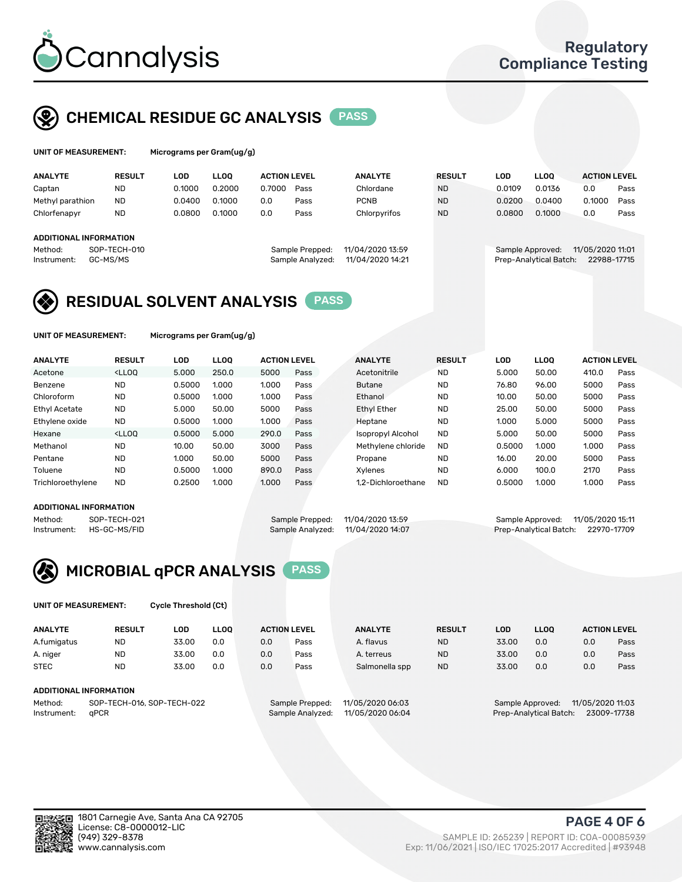

### CHEMICAL RESIDUE GC ANALYSIS PASS

| UNIT OF MEASUREMENT: | Micrograms per Gram(ug/g) |
|----------------------|---------------------------|
|                      |                           |

| Micrograms per Gram(ug/g) |  |  |
|---------------------------|--|--|
|                           |  |  |

| <b>ANALYTE</b>                                   | <b>RESULT</b>            | LOD    | <b>LLOO</b> | <b>ACTION LEVEL</b> |                                     | <b>ANALYTE</b>                       | <b>RESULT</b> | LOD              | <b>LLOO</b>            | <b>ACTION LEVEL</b>             |      |
|--------------------------------------------------|--------------------------|--------|-------------|---------------------|-------------------------------------|--------------------------------------|---------------|------------------|------------------------|---------------------------------|------|
| Captan                                           | <b>ND</b>                | 0.1000 | 0.2000      | 0.7000              | Pass                                | Chlordane                            | <b>ND</b>     | 0.0109           | 0.0136                 | 0.0                             | Pass |
| Methyl parathion                                 | <b>ND</b>                | 0.0400 | 0.1000      | 0.0                 | Pass                                | <b>PCNB</b>                          | <b>ND</b>     | 0.0200           | 0.0400                 | 0.1000                          | Pass |
| Chlorfenapyr                                     | <b>ND</b>                | 0.0800 | 0.1000      | 0.0                 | Pass                                | Chlorpyrifos                         | <b>ND</b>     | 0.0800           | 0.1000                 | 0.0                             | Pass |
| ADDITIONAL INFORMATION<br>Method:<br>Instrument: | SOP-TECH-010<br>GC-MS/MS |        |             |                     | Sample Prepped:<br>Sample Analyzed: | 11/04/2020 13:59<br>11/04/2020 14:21 |               | Sample Approved: | Prep-Analytical Batch: | 11/05/2020 11:01<br>22988-17715 |      |

### RESIDUAL SOLVENT ANALYSIS PASS

UNIT OF MEASUREMENT: Micrograms per Gram(ug/g)

| <b>ANALYTE</b>       | <b>RESULT</b>                                                                                                                                                                          | LOD    | <b>LLOO</b> | <b>ACTION LEVEL</b> |      | <b>ANALYTE</b>           | <b>RESULT</b> | LOD    | <b>LLOO</b> | <b>ACTION LEVEL</b> |      |
|----------------------|----------------------------------------------------------------------------------------------------------------------------------------------------------------------------------------|--------|-------------|---------------------|------|--------------------------|---------------|--------|-------------|---------------------|------|
| Acetone              | <lloq< td=""><td>5.000</td><td>250.0</td><td>5000</td><td>Pass</td><td>Acetonitrile</td><td><b>ND</b></td><td>5.000</td><td>50.00</td><td>410.0</td><td>Pass</td></lloq<>              | 5.000  | 250.0       | 5000                | Pass | Acetonitrile             | <b>ND</b>     | 5.000  | 50.00       | 410.0               | Pass |
| Benzene              | <b>ND</b>                                                                                                                                                                              | 0.5000 | 1.000       | 1.000               | Pass | <b>Butane</b>            | <b>ND</b>     | 76.80  | 96.00       | 5000                | Pass |
| Chloroform           | <b>ND</b>                                                                                                                                                                              | 0.5000 | 1.000       | 1.000               | Pass | Ethanol                  | <b>ND</b>     | 10.00  | 50.00       | 5000                | Pass |
| <b>Ethyl Acetate</b> | <b>ND</b>                                                                                                                                                                              | 5.000  | 50.00       | 5000                | Pass | <b>Ethyl Ether</b>       | <b>ND</b>     | 25.00  | 50.00       | 5000                | Pass |
| Ethylene oxide       | <b>ND</b>                                                                                                                                                                              | 0.5000 | 1.000       | 1.000               | Pass | Heptane                  | <b>ND</b>     | 1.000  | 5.000       | 5000                | Pass |
| Hexane               | <lloo< td=""><td>0.5000</td><td>5.000</td><td>290.0</td><td>Pass</td><td><b>Isopropyl Alcohol</b></td><td><b>ND</b></td><td>5.000</td><td>50.00</td><td>5000</td><td>Pass</td></lloo<> | 0.5000 | 5.000       | 290.0               | Pass | <b>Isopropyl Alcohol</b> | <b>ND</b>     | 5.000  | 50.00       | 5000                | Pass |
| Methanol             | <b>ND</b>                                                                                                                                                                              | 10.00  | 50.00       | 3000                | Pass | Methylene chloride       | <b>ND</b>     | 0.5000 | 1.000       | 1.000               | Pass |
| Pentane              | <b>ND</b>                                                                                                                                                                              | 1.000  | 50.00       | 5000                | Pass | Propane                  | <b>ND</b>     | 16.00  | 20.00       | 5000                | Pass |
| Toluene              | <b>ND</b>                                                                                                                                                                              | 0.5000 | 1.000       | 890.0               | Pass | Xylenes                  | <b>ND</b>     | 6.000  | 100.0       | 2170                | Pass |
| Trichloroethylene    | <b>ND</b>                                                                                                                                                                              | 0.2500 | 1.000       | 1.000               | Pass | 1.2-Dichloroethane       | <b>ND</b>     | 0.5000 | 1.000       | 1.000               | Pass |

#### ADDITIONAL INFORMATION

Method: SOP-TECH-021 Sample Prepped: 11/04/2020 13:59 Sample Approved: 11/05/2020 15:11<br>Instrument: HS-GC-MS/FID Sample Analyzed: 11/04/2020 14:07 Prep-Analytical Batch: 22970-17709

Prep-Analytical Batch: 22970-17709



UNIT OF MEASUREMENT: Cycle Threshold (Ct)

| <b>ANALYTE</b>                        | <b>RESULT</b>          | LOD   | <b>LLOO</b> | <b>ACTION LEVEL</b> |                  | <b>ANALYTE</b> | <b>RESULT</b> | LOD              | <b>LLOO</b>      |     | <b>ACTION LEVEL</b> |
|---------------------------------------|------------------------|-------|-------------|---------------------|------------------|----------------|---------------|------------------|------------------|-----|---------------------|
| A.fumigatus                           | <b>ND</b>              | 33.00 | 0.0         | 0.0                 | Pass             | A. flavus      | <b>ND</b>     | 33.00            | 0.0              | 0.0 | Pass                |
| A. niger                              | <b>ND</b>              | 33.00 | 0.0         | 0.0                 | Pass             | A. terreus     | <b>ND</b>     | 33.00            | 0.0              | 0.0 | Pass                |
| <b>STEC</b>                           | <b>ND</b>              | 33.00 | 0.0         | 0.0                 | Pass             | Salmonella spp | <b>ND</b>     | 33.00            | 0.0              | 0.0 | Pass                |
|                                       | ADDITIONAL INFORMATION |       |             |                     |                  |                |               |                  |                  |     |                     |
| SOP-TECH-016, SOP-TECH-022<br>Method: |                        |       |             | Sample Prepped:     | 11/05/2020 06:03 |                |               | Sample Approved: | 11/05/2020 11:03 |     |                     |

Instrument: qPCR Sample Analyzed: 11/05/2020 06:04 Prep-Analytical Batch: 23009-17738

PAGE 4 OF 6

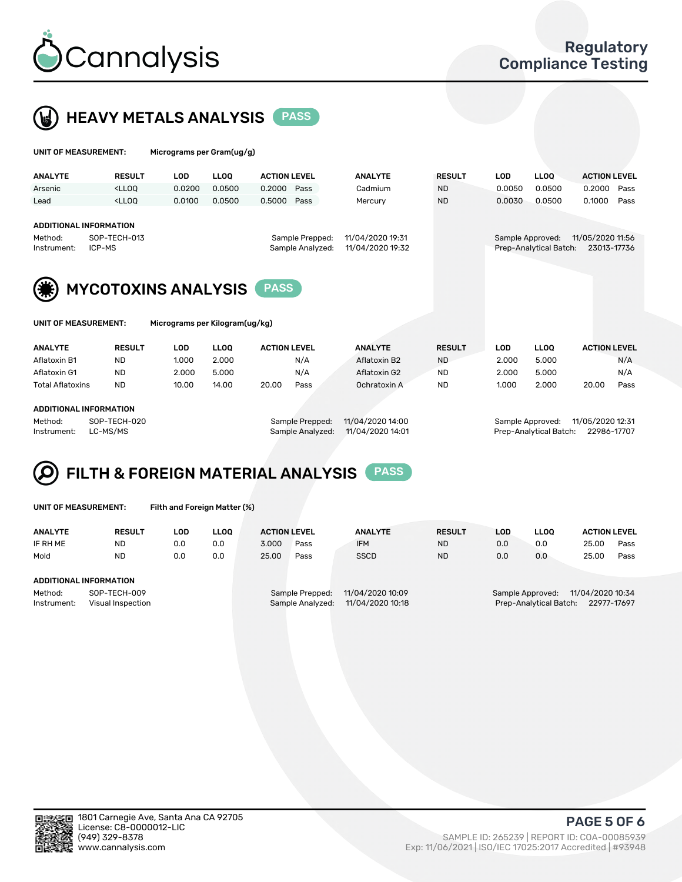



UNIT OF MEASUREMENT: Micrograms per Gram(ug/g)

| <b>ANALYTE</b>                                          | <b>RESULT</b>                                                                                                                                                               | LOD                                                                         | <b>LLOO</b> | <b>ACTION LEVEL</b> |                                            | <b>ANALYTE</b>                  | <b>RESULT</b> | <b>LOD</b> | <b>LLOO</b> | <b>ACTION LEVEL</b> |      |
|---------------------------------------------------------|-----------------------------------------------------------------------------------------------------------------------------------------------------------------------------|-----------------------------------------------------------------------------|-------------|---------------------|--------------------------------------------|---------------------------------|---------------|------------|-------------|---------------------|------|
| Arsenic                                                 | <lloo< td=""><td>0.0200</td><td>0.0500</td><td>0.2000</td><td>Pass</td><td>Cadmium</td><td><b>ND</b></td><td>0.0050</td><td>0.0500</td><td>0.2000</td><td>Pass</td></lloo<> | 0.0200                                                                      | 0.0500      | 0.2000              | Pass                                       | Cadmium                         | <b>ND</b>     | 0.0050     | 0.0500      | 0.2000              | Pass |
| Lead                                                    | <lloo< td=""><td>0.0100</td><td>0.0500</td><td>0.5000</td><td>Pass</td><td>Mercury</td><td><b>ND</b></td><td>0.0030</td><td>0.0500</td><td>0.1000</td><td>Pass</td></lloo<> | 0.0100                                                                      | 0.0500      | 0.5000              | Pass                                       | Mercury                         | <b>ND</b>     | 0.0030     | 0.0500      | 0.1000              | Pass |
| <b>ADDITIONAL INFORMATION</b><br>Method:<br>Instrument: | SOP-TECH-013<br>ICP-MS                                                                                                                                                      | 11/04/2020 19:31<br>Sample Prepped:<br>11/04/2020 19:32<br>Sample Analyzed: |             |                     | Sample Approved:<br>Prep-Analytical Batch: | 11/05/2020 11:56<br>23013-17736 |               |            |             |                     |      |
| (集)                                                     | <b>MYCOTOXINS ANALYSIS</b>                                                                                                                                                  |                                                                             |             |                     |                                            |                                 |               |            |             |                     |      |

| UNIT OF MEASUREMENT: |               | Micrograms per Kilogram(ug/kg) |             |                     |      |                |               |       |             |                     |      |
|----------------------|---------------|--------------------------------|-------------|---------------------|------|----------------|---------------|-------|-------------|---------------------|------|
| <b>ANALYTE</b>       | <b>RESULT</b> | LOD                            | <b>LLOO</b> | <b>ACTION LEVEL</b> |      | <b>ANALYTE</b> | <b>RESULT</b> | LOD   | <b>LLOO</b> | <b>ACTION LEVEL</b> |      |
| Aflatoxin B1         | <b>ND</b>     | 1.000                          | 2.000       |                     | N/A  | Aflatoxin B2   | <b>ND</b>     | 2.000 | 5.000       |                     | N/A  |
| Aflatoxin G1         | <b>ND</b>     | 2.000                          | 5.000       |                     | N/A  | Aflatoxin G2   | <b>ND</b>     | 2.000 | 5.000       |                     | N/A  |
| Total Aflatoxins     | <b>ND</b>     | 10.00                          | 14.00       | 20.00               | Pass | Ochratoxin A   | <b>ND</b>     | 1.000 | 2.000       | 20.00               | Pass |

#### ADDITIONAL INFORMATION

Method: SOP-TECH-020 Sample Prepped: 11/04/2020 14:00 Sample Approved: 11/05/2020 12:31 Instrument: LC-MS/MS Sample Analyzed: 11/04/2020 14:01 Prep-Analytical Batch: 22986-17707

## FILTH & FOREIGN MATERIAL ANALYSIS PASS

UNIT OF MEASUREMENT: Filth and Foreign Matter (%)

| <b>ANALYTE</b>                                              | <b>RESULT</b> | LOD. | <b>LLOO</b> | <b>ACTION LEVEL</b> |                                     | <b>ANALYTE</b>                       | <b>RESULT</b> | LOD | LLOO | <b>ACTION LEVEL</b>                                                           |      |  |  |
|-------------------------------------------------------------|---------------|------|-------------|---------------------|-------------------------------------|--------------------------------------|---------------|-----|------|-------------------------------------------------------------------------------|------|--|--|
| IF RH ME                                                    | <b>ND</b>     | 0.0  | 0.0         | 3.000               | Pass                                | <b>IFM</b>                           | <b>ND</b>     | 0.0 | 0.0  | 25.00                                                                         | Pass |  |  |
| Mold                                                        | <b>ND</b>     | 0.0  | 0.0         | 25.00               | Pass                                | <b>SSCD</b>                          | <b>ND</b>     | 0.0 | 0.0  | 25.00                                                                         | Pass |  |  |
| ADDITIONAL INFORMATION                                      |               |      |             |                     |                                     |                                      |               |     |      |                                                                               |      |  |  |
| Method:<br>SOP-TECH-009<br>Instrument:<br>Visual Inspection |               |      |             |                     | Sample Prepped:<br>Sample Analyzed: | 11/04/2020 10:09<br>11/04/2020 10:18 |               |     |      | 11/04/2020 10:34<br>Sample Approved:<br>Prep-Analytical Batch:<br>22977-17697 |      |  |  |